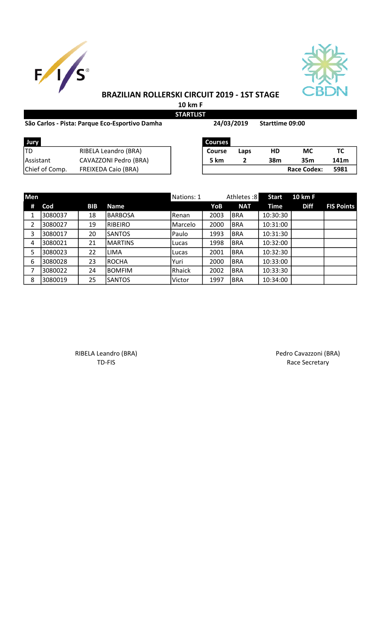



## BRAZILIAN ROLLERSKI CIRCUIT 2019 - 1ST STAGE

10 km F STARTLIST

## São Carlos - Pista: Parque Eco-Esportivo Damha Starttime 09:00

24/03/2019

| Jury           |                            | <b>Courses</b> |      |     |                    |     |
|----------------|----------------------------|----------------|------|-----|--------------------|-----|
| TD             | RIBELA Leandro (BRA)       | Course         | Laps | HD  | МC                 | ТС  |
| Assistant      | CAVAZZONI Pedro (BRA)      | 5 km           |      | 38m | 35 <sub>m</sub>    | 141 |
| Chief of Comp. | <b>FREIXEDA Caio (BRA)</b> |                |      |     | <b>Race Codex:</b> | 598 |

| Jury           |                            | Courses |      |     |                    |      |
|----------------|----------------------------|---------|------|-----|--------------------|------|
| TD             | RIBELA Leandro (BRA)       | Course  | Laps | HD  | МC                 |      |
| Assistant      | CAVAZZONI Pedro (BRA)      | 5 km    |      | 38m | 35m                | 141m |
| Chief of Comp. | <b>FREIXEDA Caio (BRA)</b> |         |      |     | <b>Race Codex:</b> | 5981 |

| Men |         |            |                | Nations: 1 |      | Athletes:8 | <b>Start</b> | <b>10 km F</b> |                   |
|-----|---------|------------|----------------|------------|------|------------|--------------|----------------|-------------------|
| #   | Cod     | <b>BIB</b> | <b>Name</b>    |            | YoB  | <b>NAT</b> | Time         | <b>Diff</b>    | <b>FIS Points</b> |
| 1   | 3080037 | 18         | <b>BARBOSA</b> | Renan      | 2003 | <b>BRA</b> | 10:30:30     |                |                   |
| 2   | 3080027 | 19         | <b>RIBEIRO</b> | Marcelo    | 2000 | <b>BRA</b> | 10:31:00     |                |                   |
| 3   | 3080017 | 20         | <b>SANTOS</b>  | Paulo      | 1993 | <b>BRA</b> | 10:31:30     |                |                   |
| 4   | 3080021 | 21         | <b>MARTINS</b> | Lucas      | 1998 | <b>BRA</b> | 10:32:00     |                |                   |
| 5   | 3080023 | 22         | <b>LIMA</b>    | Lucas      | 2001 | <b>BRA</b> | 10:32:30     |                |                   |
| 6   | 3080028 | 23         | <b>ROCHA</b>   | Yuri       | 2000 | <b>BRA</b> | 10:33:00     |                |                   |
| 7   | 3080022 | 24         | <b>BOMFIM</b>  | Rhaick     | 2002 | <b>BRA</b> | 10:33:30     |                |                   |
| 8   | 3080019 | 25         | <b>SANTOS</b>  | Victor     | 1997 | <b>BRA</b> | 10:34:00     |                |                   |

RIBELA Leandro (BRA) <br>
TD-FIS Race Secretary Race Secretary Race Secretary